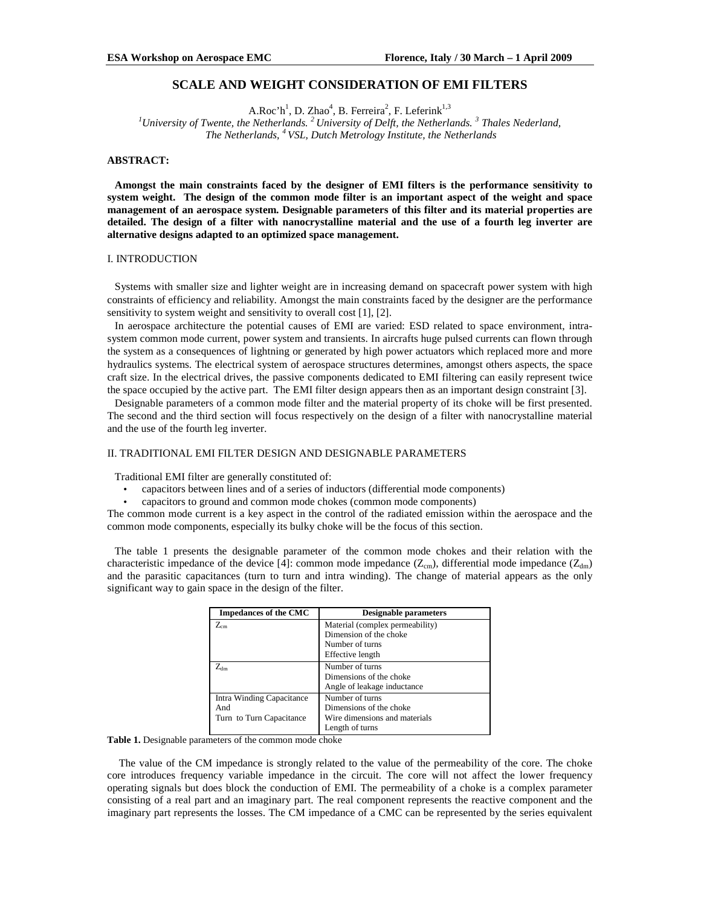# **SCALE AND WEIGHT CONSIDERATION OF EMI FILTERS**

A.Roc'h<sup>1</sup>, D. Zhao<sup>4</sup>, B. Ferreira<sup>2</sup>, F. Leferink<sup>1,3</sup>

*<sup>1</sup>University of Twente, the Netherlands. <sup>2</sup>University of Delft, the Netherlands. <sup>3</sup> Thales Nederland, The Netherlands, <sup>4</sup>VSL, Dutch Metrology Institute, the Netherlands*

### **ABSTRACT:**

**Amongst the main constraints faced by the designer of EMI filters is the performance sensitivity to system weight. The design of the common mode filter is an important aspect of the weight and space management of an aerospace system. Designable parameters of this filter and its material properties are detailed. The design of a filter with nanocrystalline material and the use of a fourth leg inverter are alternative designs adapted to an optimized space management.** 

# I. INTRODUCTION

Systems with smaller size and lighter weight are in increasing demand on spacecraft power system with high constraints of efficiency and reliability. Amongst the main constraints faced by the designer are the performance sensitivity to system weight and sensitivity to overall cost [1], [2].

In aerospace architecture the potential causes of EMI are varied: ESD related to space environment, intrasystem common mode current, power system and transients. In aircrafts huge pulsed currents can flown through the system as a consequences of lightning or generated by high power actuators which replaced more and more hydraulics systems. The electrical system of aerospace structures determines, amongst others aspects, the space craft size. In the electrical drives, the passive components dedicated to EMI filtering can easily represent twice the space occupied by the active part. The EMI filter design appears then as an important design constraint [3].

Designable parameters of a common mode filter and the material property of its choke will be first presented. The second and the third section will focus respectively on the design of a filter with nanocrystalline material and the use of the fourth leg inverter.

# II. TRADITIONAL EMI FILTER DESIGN AND DESIGNABLE PARAMETERS

Traditional EMI filter are generally constituted of:

- capacitors between lines and of a series of inductors (differential mode components)
- capacitors to ground and common mode chokes (common mode components)

The common mode current is a key aspect in the control of the radiated emission within the aerospace and the common mode components, especially its bulky choke will be the focus of this section.

The table 1 presents the designable parameter of the common mode chokes and their relation with the characteristic impedance of the device [4]: common mode impedance  $(Z_{cm})$ , differential mode impedance  $(Z_{dm})$ and the parasitic capacitances (turn to turn and intra winding). The change of material appears as the only significant way to gain space in the design of the filter.

| <b>Impedances of the CMC</b> | <b>Designable parameters</b>    |
|------------------------------|---------------------------------|
| $Z_{\rm cm}$                 | Material (complex permeability) |
|                              | Dimension of the choke          |
|                              | Number of turns                 |
|                              | Effective length                |
| $\rm Z_{dm}$                 | Number of turns                 |
|                              | Dimensions of the choke         |
|                              | Angle of leakage inductance     |
| Intra Winding Capacitance    | Number of turns                 |
| And                          | Dimensions of the choke         |
| Turn to Turn Capacitance     | Wire dimensions and materials   |
|                              | Length of turns                 |

**Table 1.** Designable parameters of the common mode choke

The value of the CM impedance is strongly related to the value of the permeability of the core. The choke core introduces frequency variable impedance in the circuit. The core will not affect the lower frequency operating signals but does block the conduction of EMI. The permeability of a choke is a complex parameter consisting of a real part and an imaginary part. The real component represents the reactive component and the imaginary part represents the losses. The CM impedance of a CMC can be represented by the series equivalent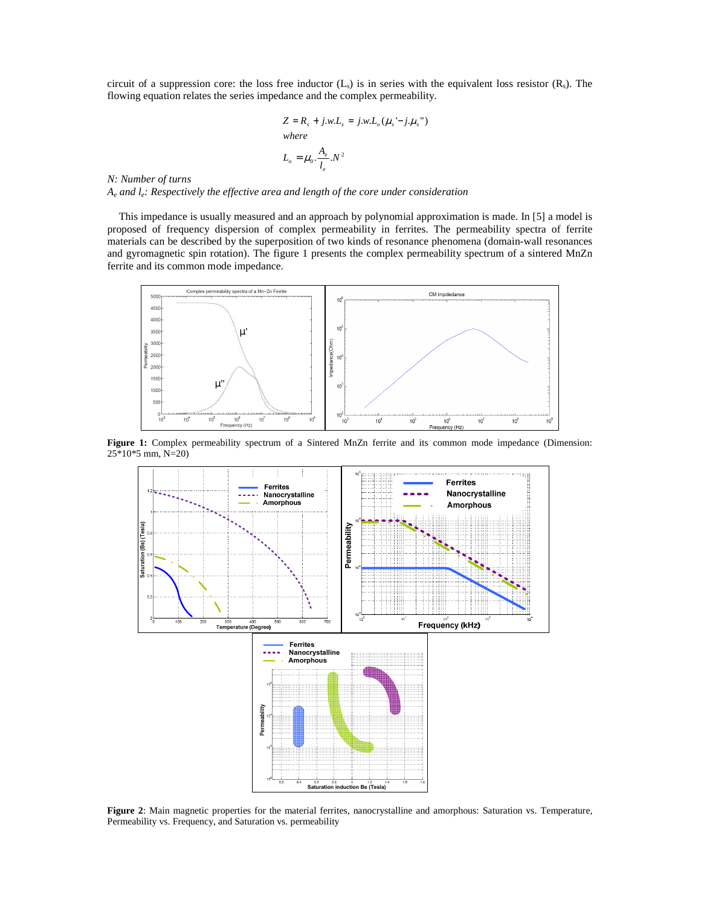circuit of a suppression core: the loss free inductor  $(L<sub>s</sub>)$  is in series with the equivalent loss resistor  $(R<sub>s</sub>)$ . The flowing equation relates the series impedance and the complex permeability.

$$
Z = R_s + j.w.L_s = j.w.L_o(\mu_s' - j.\mu_s")
$$
  
where  

$$
L_o = \mu_0 \cdot \frac{A_e}{l_e} . N^2
$$

*N: Number of turns* 

*Ae and le: Respectively the effective area and length of the core under consideration* 

This impedance is usually measured and an approach by polynomial approximation is made. In [5] a model is proposed of frequency dispersion of complex permeability in ferrites. The permeability spectra of ferrite materials can be described by the superposition of two kinds of resonance phenomena (domain-wall resonances and gyromagnetic spin rotation). The figure 1 presents the complex permeability spectrum of a sintered MnZn ferrite and its common mode impedance.



**Figure 1:** Complex permeability spectrum of a Sintered MnZn ferrite and its common mode impedance (Dimension: 25\*10\*5 mm, N=20)



**Figure 2**: Main magnetic properties for the material ferrites, nanocrystalline and amorphous: Saturation vs. Temperature, Permeability vs. Frequency, and Saturation vs. permeability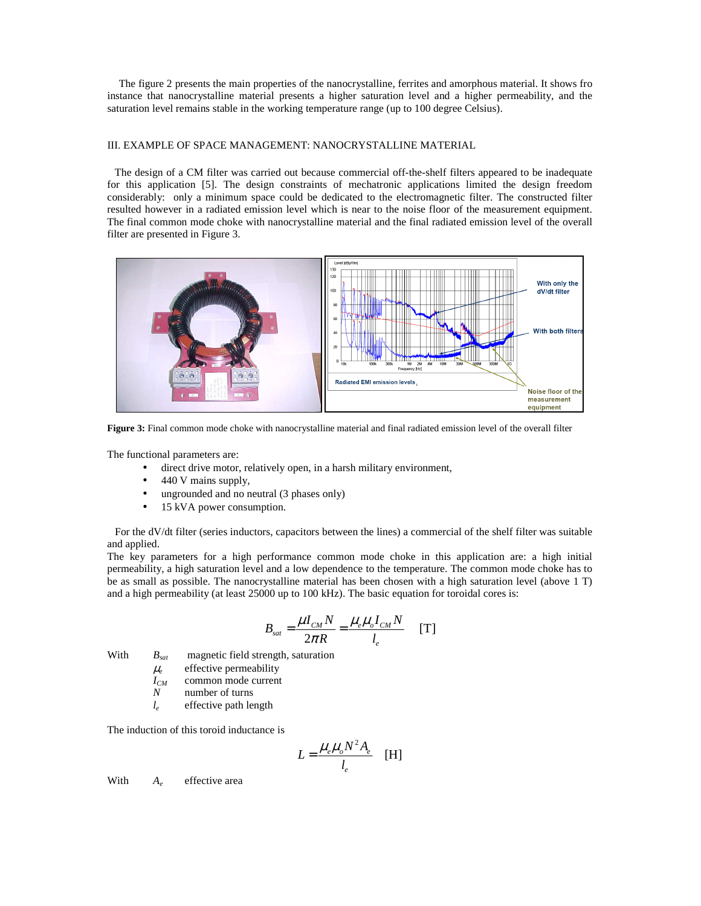The figure 2 presents the main properties of the nanocrystalline, ferrites and amorphous material. It shows fro instance that nanocrystalline material presents a higher saturation level and a higher permeability, and the saturation level remains stable in the working temperature range (up to 100 degree Celsius).

### III. EXAMPLE OF SPACE MANAGEMENT: NANOCRYSTALLINE MATERIAL

The design of a CM filter was carried out because commercial off-the-shelf filters appeared to be inadequate for this application [5]. The design constraints of mechatronic applications limited the design freedom considerably: only a minimum space could be dedicated to the electromagnetic filter. The constructed filter resulted however in a radiated emission level which is near to the noise floor of the measurement equipment. The final common mode choke with nanocrystalline material and the final radiated emission level of the overall filter are presented in Figure 3.



**Figure 3:** Final common mode choke with nanocrystalline material and final radiated emission level of the overall filter

The functional parameters are:

- direct drive motor, relatively open, in a harsh military environment,
- 440 V mains supply,
- ungrounded and no neutral (3 phases only)
- 15 kVA power consumption.

For the dV/dt filter (series inductors, capacitors between the lines) a commercial of the shelf filter was suitable and applied.

The key parameters for a high performance common mode choke in this application are: a high initial permeability, a high saturation level and a low dependence to the temperature. The common mode choke has to be as small as possible. The nanocrystalline material has been chosen with a high saturation level (above 1 T) and a high permeability (at least 25000 up to 100 kHz). The basic equation for toroidal cores is:

$$
B_{sat} = \frac{\mu I_{CM} N}{2\pi R} = \frac{\mu_e \mu_o I_{CM} N}{l_e} \quad [T]
$$

With *Bsat* magnetic field strength, saturation  $\mu_e$  effective permeability

- 
- $I_{CM}$  common mode current<br>*N* number of turns
- *N* number of turns  $l_e$  effective path let *l<sup>e</sup>* effective path length

The induction of this toroid inductance is

$$
L = \frac{\mu_e \mu_o N^2 A_e}{l_e} \quad [H]
$$

With  $A_e$  effective area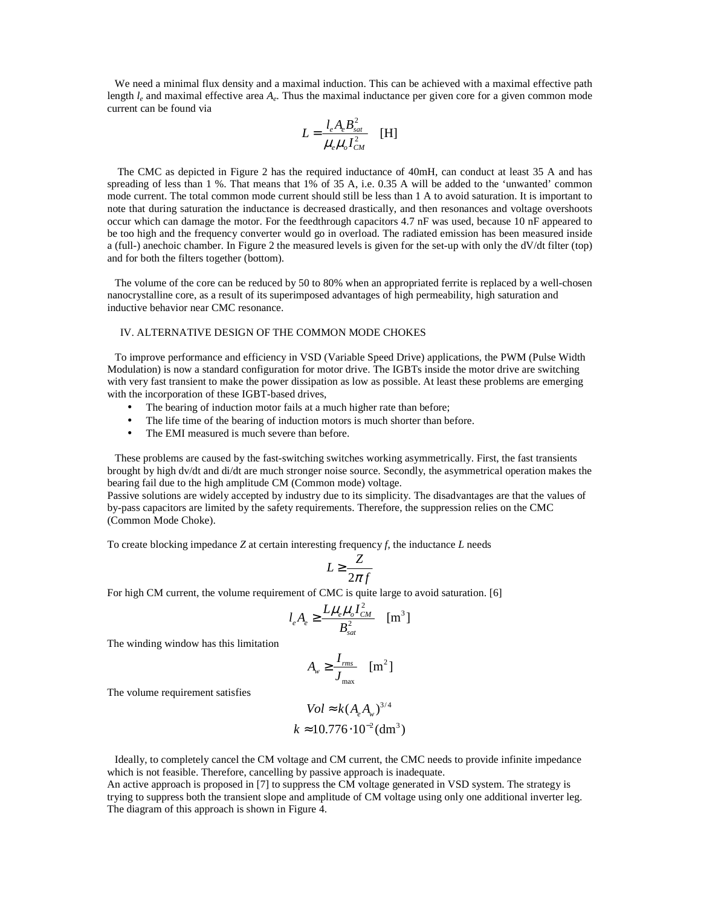We need a minimal flux density and a maximal induction. This can be achieved with a maximal effective path length  $l_e$  and maximal effective area  $A_e$ . Thus the maximal inductance per given core for a given common mode current can be found via

$$
L = \frac{l_e A_e B_{sat}^2}{\mu_e \mu_o I_{CM}^2}
$$
 [H]

 The CMC as depicted in Figure 2 has the required inductance of 40mH, can conduct at least 35 A and has spreading of less than 1 %. That means that 1% of 35 A, i.e. 0.35 A will be added to the 'unwanted' common mode current. The total common mode current should still be less than 1 A to avoid saturation. It is important to note that during saturation the inductance is decreased drastically, and then resonances and voltage overshoots occur which can damage the motor. For the feedthrough capacitors 4.7 nF was used, because 10 nF appeared to be too high and the frequency converter would go in overload. The radiated emission has been measured inside a (full-) anechoic chamber. In Figure 2 the measured levels is given for the set-up with only the dV/dt filter (top) and for both the filters together (bottom).

The volume of the core can be reduced by 50 to 80% when an appropriated ferrite is replaced by a well-chosen nanocrystalline core, as a result of its superimposed advantages of high permeability, high saturation and inductive behavior near CMC resonance.

## IV. ALTERNATIVE DESIGN OF THE COMMON MODE CHOKES

To improve performance and efficiency in VSD (Variable Speed Drive) applications, the PWM (Pulse Width Modulation) is now a standard configuration for motor drive. The IGBTs inside the motor drive are switching with very fast transient to make the power dissipation as low as possible. At least these problems are emerging with the incorporation of these IGBT-based drives,

- The bearing of induction motor fails at a much higher rate than before;
- The life time of the bearing of induction motors is much shorter than before.
- The EMI measured is much severe than before.

These problems are caused by the fast-switching switches working asymmetrically. First, the fast transients brought by high dv/dt and di/dt are much stronger noise source. Secondly, the asymmetrical operation makes the bearing fail due to the high amplitude CM (Common mode) voltage.

Passive solutions are widely accepted by industry due to its simplicity. The disadvantages are that the values of by-pass capacitors are limited by the safety requirements. Therefore, the suppression relies on the CMC (Common Mode Choke).

To create blocking impedance *Z* at certain interesting frequency *f*, the inductance *L* needs

$$
L \geq \frac{Z}{2\pi f}
$$

For high CM current, the volume requirement of CMC is quite large to avoid saturation. [6]

$$
l_e A_e \ge \frac{L\mu_e \mu_o I_{CM}^2}{B_{sat}^2} \quad \text{[m}^3\text{]}
$$

The winding window has this limitation

$$
A_{w} \geq \frac{I_{rms}}{J_{max}} \quad [m^{2}]
$$

The volume requirement satisfies

$$
Vol \approx k (A_e A_w)^{3/4}
$$
  

$$
k \approx 10.776 \cdot 10^{-2} (dm^3)
$$

Ideally, to completely cancel the CM voltage and CM current, the CMC needs to provide infinite impedance which is not feasible. Therefore, cancelling by passive approach is inadequate.

An active approach is proposed in [7] to suppress the CM voltage generated in VSD system. The strategy is trying to suppress both the transient slope and amplitude of CM voltage using only one additional inverter leg. The diagram of this approach is shown in Figure 4.